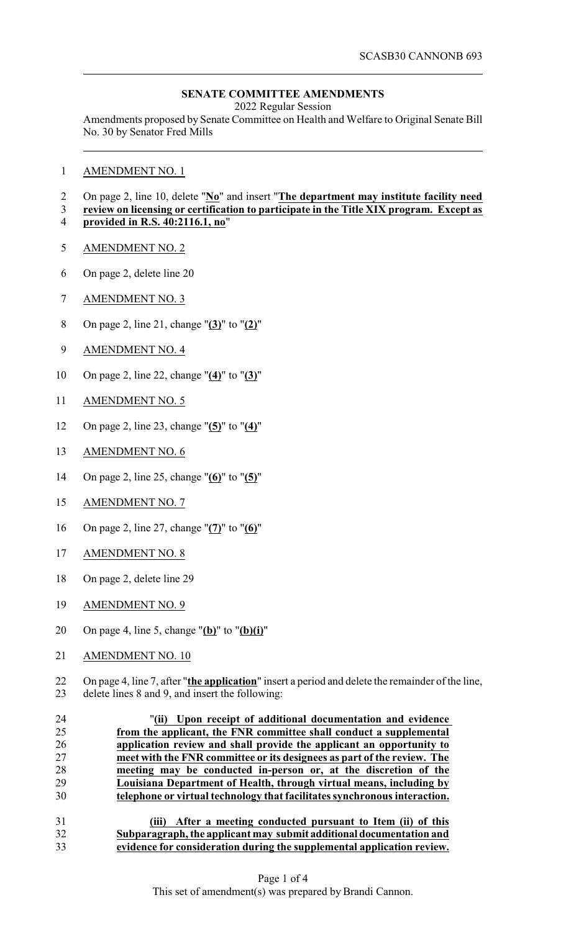## **SENATE COMMITTEE AMENDMENTS**

2022 Regular Session

Amendments proposed by Senate Committee on Health and Welfare to Original Senate Bill No. 30 by Senator Fred Mills

AMENDMENT NO. 1

## On page 2, line 10, delete "**No**" and insert "**The department may institute facility need**

- **review on licensing or certification to participate in the Title XIX program. Except as provided in R.S. 40:2116.1, no**"
- AMENDMENT NO. 2
- On page 2, delete line 20
- AMENDMENT NO. 3
- On page 2, line 21, change "**(3)**" to "**(2)**"
- AMENDMENT NO. 4
- On page 2, line 22, change "**(4)**" to "**(3)**"
- AMENDMENT NO. 5
- On page 2, line 23, change "**(5)**" to "**(4)**"
- AMENDMENT NO. 6
- On page 2, line 25, change "**(6)**" to "**(5)**"
- AMENDMENT NO. 7
- On page 2, line 27, change "**(7)**" to "**(6)**"
- AMENDMENT NO. 8
- On page 2, delete line 29
- AMENDMENT NO. 9
- On page 4, line 5, change "**(b)**" to "**(b)(i)**"
- AMENDMENT NO. 10

22 On page 4, line 7, after "**the application**" insert a period and delete the remainder of the line,<br>23 delete lines 8 and 9, and insert the following: delete lines 8 and 9, and insert the following:

 "**(ii) Upon receipt of additional documentation and evidence from the applicant, the FNR committee shall conduct a supplemental application review and shall provide the applicant an opportunity to meet with the FNR committee or its designees as part of the review. The meeting may be conducted in-person or, at the discretion of the Louisiana Department of Health, through virtual means, including by telephone or virtual technology that facilitates synchronous interaction.**

 **(iii) After a meeting conducted pursuant to Item (ii) of this Subparagraph, the applicant may submit additional documentation and evidence for consideration during the supplemental application review.**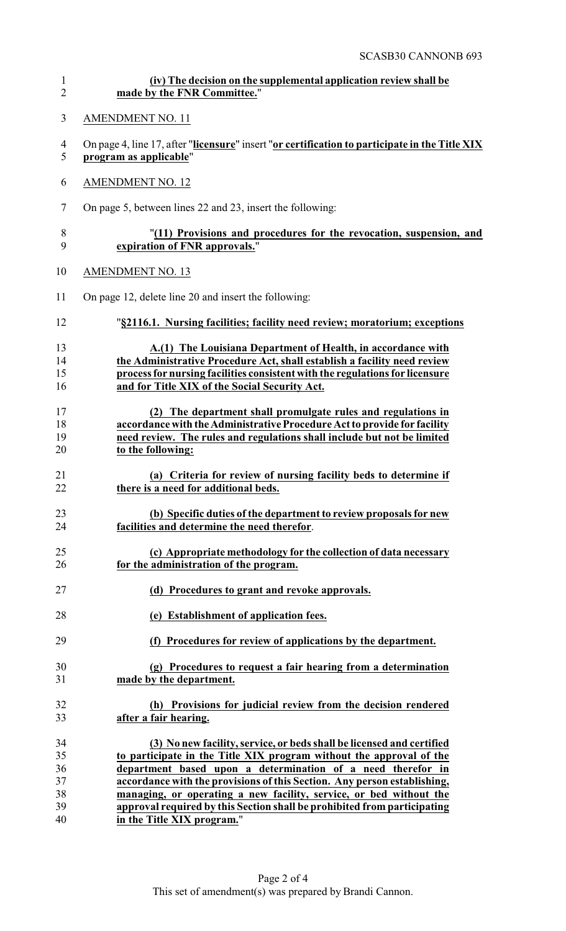| $\mathbf{1}$   | (iv) The decision on the supplemental application review shall be                              |
|----------------|------------------------------------------------------------------------------------------------|
| $\overline{2}$ | made by the FNR Committee."                                                                    |
| 3              | <b>AMENDMENT NO. 11</b>                                                                        |
| $\overline{4}$ | On page 4, line 17, after "licensure" insert "or certification to participate in the Title XIX |
| 5              | program as applicable"                                                                         |
| 6              | <b>AMENDMENT NO. 12</b>                                                                        |
| $\tau$         | On page 5, between lines 22 and 23, insert the following:                                      |
| $8\,$          | "(11) Provisions and procedures for the revocation, suspension, and                            |
| 9              | expiration of FNR approvals."                                                                  |
| 10             | <b>AMENDMENT NO. 13</b>                                                                        |
| 11             | On page 12, delete line 20 and insert the following:                                           |
| 12             | "§2116.1. Nursing facilities; facility need review; moratorium; exceptions                     |
| 13             | A.(1) The Louisiana Department of Health, in accordance with                                   |
| 14             | the Administrative Procedure Act, shall establish a facility need review                       |
| 15             | process for nursing facilities consistent with the regulations for licensure                   |
| 16             | and for Title XIX of the Social Security Act.                                                  |
| 17             | (2) The department shall promulgate rules and regulations in                                   |
| 18             | accordance with the Administrative Procedure Act to provide for facility                       |
| 19             | need review. The rules and regulations shall include but not be limited                        |
| 20             | to the following:                                                                              |
| 21             | (a) Criteria for review of nursing facility beds to determine if                               |
| 22             | there is a need for additional beds.                                                           |
| 23             | (b) Specific duties of the department to review proposals for new                              |
| 24             | facilities and determine the need therefor.                                                    |
| 25             | (c) Appropriate methodology for the collection of data necessary                               |
| 26             | for the administration of the program.                                                         |
| 27             | (d) Procedures to grant and revoke approvals.                                                  |
| 28             | (e) Establishment of application fees.                                                         |
| 29             | (f) Procedures for review of applications by the department.                                   |
| 30             | (g) Procedures to request a fair hearing from a determination                                  |
| 31             | made by the department.                                                                        |
| 32             | (h) Provisions for judicial review from the decision rendered                                  |
| 33             | after a fair hearing.                                                                          |
| 34             | (3) No new facility, service, or beds shall be licensed and certified                          |
| 35             | to participate in the Title XIX program without the approval of the                            |
| 36             | department based upon a determination of a need therefor in                                    |
| 37             | accordance with the provisions of this Section. Any person establishing,                       |
| 38             | managing, or operating a new facility, service, or bed without the                             |
| 39             | approval required by this Section shall be prohibited from participating                       |
| 40             | in the Title XIX program."                                                                     |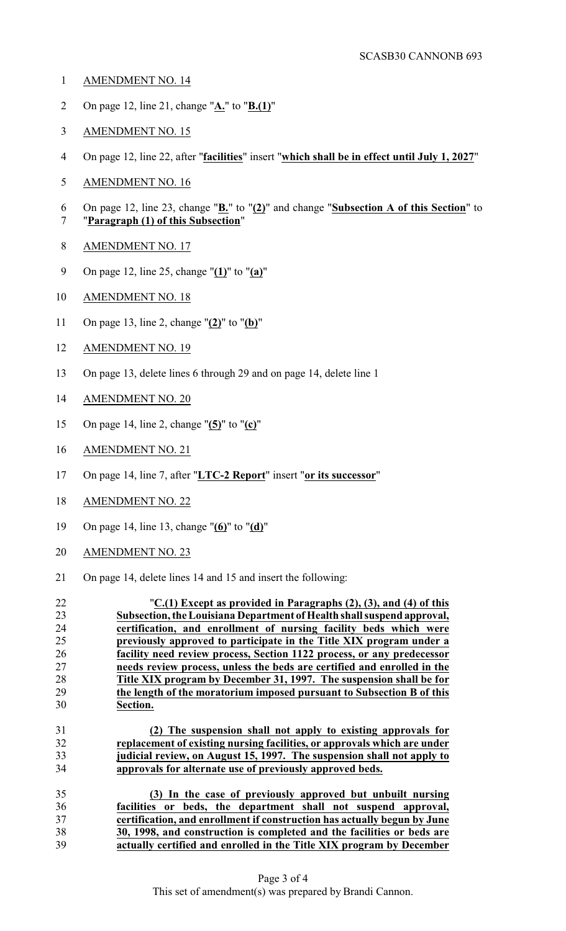- AMENDMENT NO. 14
- On page 12, line 21, change "**A.**" to "**B.(1)**"
- AMENDMENT NO. 15
- On page 12, line 22, after "**facilities**" insert "**which shall be in effect until July 1, 2027**"
- AMENDMENT NO. 16
- On page 12, line 23, change "**B.**" to "**(2)**" and change "**Subsection A of this Section**" to "**Paragraph (1) of this Subsection**"
- 
- AMENDMENT NO. 17
- On page 12, line 25, change "**(1)**" to "**(a)**"
- AMENDMENT NO. 18
- On page 13, line 2, change "**(2)**" to "**(b)**"
- AMENDMENT NO. 19
- On page 13, delete lines 6 through 29 and on page 14, delete line 1
- AMENDMENT NO. 20
- On page 14, line 2, change "**(5)**" to "**(c)**"
- AMENDMENT NO. 21
- On page 14, line 7, after "**LTC-2 Report**" insert "**or its successor**"
- AMENDMENT NO. 22
- On page 14, line 13, change "**(6)**" to "**(d)**"
- AMENDMENT NO. 23
- On page 14, delete lines 14 and 15 and insert the following: